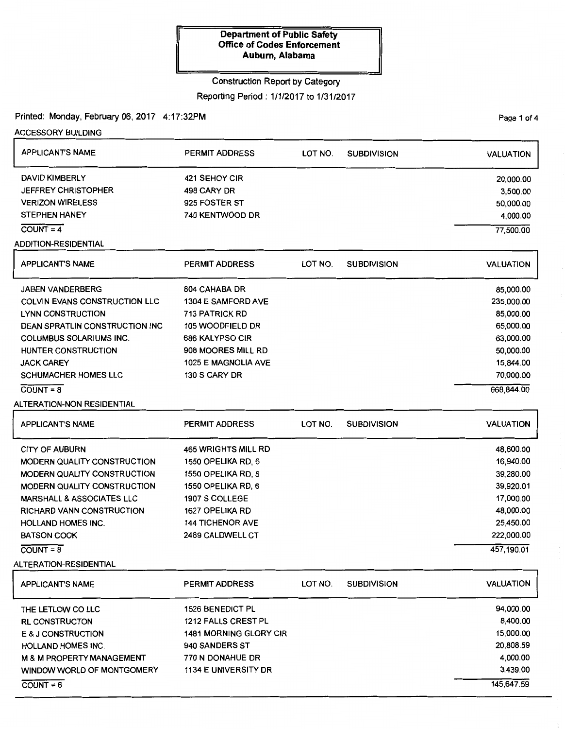# Construction Report by Category

Reporting Period: 1/1/2017 to 1/31/2017

Printed: Monday, February 06, 2017 4:17:32PM

Page 1 of 4

| <b>ACCESSORY BUILDING</b>             |                               |         |                    |                  |
|---------------------------------------|-------------------------------|---------|--------------------|------------------|
| <b>APPLICANT'S NAME</b>               | <b>PERMIT ADDRESS</b>         | LOT NO. | <b>SUBDIVISION</b> | <b>VALUATION</b> |
| <b>DAVID KIMBERLY</b>                 | 421 SEHOY CIR                 |         |                    | 20,000.00        |
| <b>JEFFREY CHRISTOPHER</b>            | 498 CARY DR                   |         |                    | 3,500.00         |
| <b>VERIZON WIRELESS</b>               | 925 FOSTER ST                 |         |                    | 50,000.00        |
| <b>STEPHEN HANEY</b>                  | 740 KENTWOOD DR               |         |                    | 4,000.00         |
| $COUNT = 4$                           |                               |         |                    | 77,500.00        |
| <b>ADDITION-RESIDENTIAL</b>           |                               |         |                    |                  |
| <b>APPLICANT'S NAME</b>               | <b>PERMIT ADDRESS</b>         | LOT NO. | <b>SUBDIVISION</b> | <b>VALUATION</b> |
| <b>JABEN VANDERBERG</b>               | 804 CAHABA DR                 |         |                    | 85,000.00        |
| <b>COLVIN EVANS CONSTRUCTION LLC</b>  | 1304 E SAMFORD AVE            |         |                    | 235,000.00       |
| <b>LYNN CONSTRUCTION</b>              | <b>713 PATRICK RD</b>         |         |                    | 85,000.00        |
| <b>DEAN SPRATLIN CONSTRUCTION INC</b> | 105 WOODFIELD DR              |         |                    | 65,000.00        |
| <b>COLUMBUS SOLARIUMS INC.</b>        | 686 KALYPSO CIR               |         |                    | 63,000.00        |
| HUNTER CONSTRUCTION                   | 908 MOORES MILL RD            |         |                    | 50,000.00        |
| <b>JACK CAREY</b>                     | 1025 E MAGNOLIA AVE           |         |                    | 15,844.00        |
| <b>SCHUMACHER HOMES LLC</b>           | 130 S CARY DR                 |         |                    | 70,000.00        |
| $COUNT = 8$                           |                               |         |                    | 668,844.00       |
| <b>ALTERATION-NON RESIDENTIAL</b>     |                               |         |                    |                  |
| <b>APPLICANT'S NAME</b>               | <b>PERMIT ADDRESS</b>         | LOT NO. | <b>SUBDIVISION</b> | <b>VALUATION</b> |
| <b>CITY OF AUBURN</b>                 | <b>465 WRIGHTS MILL RD</b>    |         |                    | 48,600.00        |
| MODERN QUALITY CONSTRUCTION           | 1550 OPELIKA RD, 6            |         |                    | 16,940.00        |
| <b>MODERN QUALITY CONSTRUCTION</b>    | 1550 OPELIKA RD, 6            |         |                    | 39,280.00        |
| <b>MODERN QUALITY CONSTRUCTION</b>    | 1550 OPELIKA RD, 6            |         |                    | 39,920.01        |
| <b>MARSHALL &amp; ASSOCIATES LLC</b>  | 1907 S COLLEGE                |         |                    | 17,000.00        |
| RICHARD VANN CONSTRUCTION             | 1627 OPELIKA RD               |         |                    | 48,000.00        |
| HOLLAND HOMES INC.                    | <b>144 TICHENOR AVE</b>       |         |                    | 25,450.00        |
| <b>BATSON COOK</b>                    | 2489 CALDWELL CT              |         |                    | 222,000.00       |
| $\overline{COUNT} = 8$                |                               |         |                    | 457,190.01       |
| ALTERATION-RESIDENTIAL                |                               |         |                    |                  |
| <b>APPLICANT'S NAME</b>               | <b>PERMIT ADDRESS</b>         | LOT NO. | <b>SUBDIVISION</b> | <b>VALUATION</b> |
| THE LETLOW CO LLC                     | <b>1526 BENEDICT PL</b>       |         |                    | 94,000.00        |
| <b>RL CONSTRUCTON</b>                 | 1212 FALLS CREST PL           |         |                    | 8,400.00         |
| E & J CONSTRUCTION                    | <b>1481 MORNING GLORY CIR</b> |         |                    | 15,000.00        |
| <b>HOLLAND HOMES INC.</b>             | 940 SANDERS ST                |         |                    | 20,808.59        |
| <b>M &amp; M PROPERTY MANAGEMENT</b>  | 770 N DONAHUE DR              |         |                    | 4,000.00         |
| WINDOW WORLD OF MONTGOMERY            | 1134 E UNIVERSITY DR          |         |                    | 3,439.00         |
| $COUNT = 6$                           |                               |         |                    | 145,647.59       |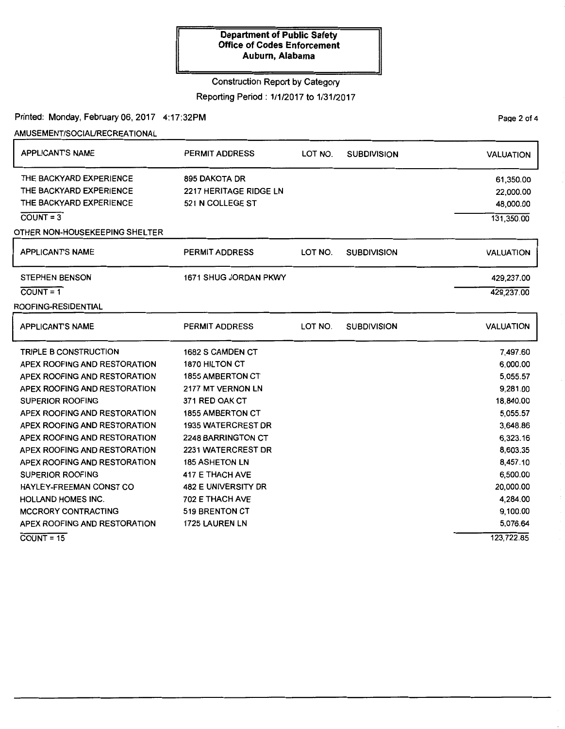### Construction Report by Category

Reporting Period: 1/1/2017 to 1/31/2017

Printed: Monday, February 06, 2017 4:17:32PM

### AMUSEMENT/SOCIAURECREATIONAL

| <b>APPLICANT'S NAME</b>        | <b>PERMIT ADDRESS</b>      | LOT NO. | <b>SUBDIVISION</b> | <b>VALUATION</b> |
|--------------------------------|----------------------------|---------|--------------------|------------------|
| THE BACKYARD EXPERIENCE        | 895 DAKOTA DR              |         |                    | 61,350.00        |
| THE BACKYARD EXPERIENCE        | 2217 HERITAGE RIDGE LN     |         |                    | 22,000.00        |
| THE BACKYARD EXPERIENCE        | 521 N COLLEGE ST           |         |                    | 48,000.00        |
| $CQUNT = 3$                    |                            |         |                    | 131,350.00       |
| OTHER NON-HOUSEKEEPING SHELTER |                            |         |                    |                  |
| <b>APPLICANT'S NAME</b>        | <b>PERMIT ADDRESS</b>      | LOT NO. | <b>SUBDIVISION</b> | <b>VALUATION</b> |
| <b>STEPHEN BENSON</b>          | 1671 SHUG JORDAN PKWY      |         |                    | 429,237.00       |
| $COUNT = 1$                    |                            |         |                    | 429,237.00       |
| ROOFING-RESIDENTIAL            |                            |         |                    |                  |
| <b>APPLICANT'S NAME</b>        | <b>PERMIT ADDRESS</b>      | LOT NO. | <b>SUBDIVISION</b> | <b>VALUATION</b> |
| <b>TRIPLE B CONSTRUCTION</b>   | 1682 S CAMDEN CT           |         |                    | 7,497.60         |
| APEX ROOFING AND RESTORATION   | 1870 HILTON CT             |         |                    | 6,000.00         |
| APEX ROOFING AND RESTORATION   | <b>1855 AMBERTON CT</b>    |         |                    | 5,055.57         |
| APEX ROOFING AND RESTORATION   | 2177 MT VERNON LN          |         |                    | 9,281.00         |
| <b>SUPERIOR ROOFING</b>        | 371 RED OAK CT             |         |                    | 18,840.00        |
| APEX ROOFING AND RESTORATION   | <b>1855 AMBERTON CT</b>    |         |                    | 5,055.57         |
| APEX ROOFING AND RESTORATION   | <b>1935 WATERCREST DR</b>  |         |                    | 3,648.86         |
| APEX ROOFING AND RESTORATION   | <b>2248 BARRINGTON CT</b>  |         |                    | 6,323.16         |
| APEX ROOFING AND RESTORATION   | 2231 WATERCREST DR         |         |                    | 8,603.35         |
| APEX ROOFING AND RESTORATION   | <b>185 ASHETON LN</b>      |         |                    | 8,457.10         |
| <b>SUPERIOR ROOFING</b>        | 417 E THACH AVE            |         |                    | 6,500.00         |
| HAYLEY-FREEMAN CONST CO        | <b>482 E UNIVERSITY DR</b> |         |                    | 20,000.00        |
| <b>HOLLAND HOMES INC.</b>      | 702 E THACH AVE            |         |                    | 4,284.00         |
| <b>MCCRORY CONTRACTING</b>     | <b>519 BRENTON CT</b>      |         |                    | 9,100.00         |
| APEX ROOFING AND RESTORATION   | 1725 LAUREN LN             |         |                    | 5,076.64         |
| $COUNT = 15$                   |                            |         |                    | 123,722.85       |

PaQe 2 of 4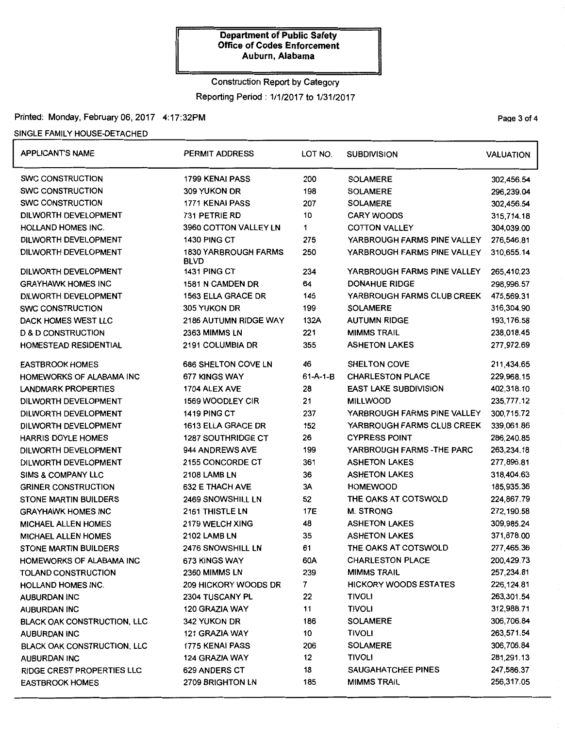### Construction Report by Category

Reporting Period: 1/1/2017 to 1/31/2017

# Printed: Monday, February 06, 2017 4:17:32PM **Page 3 of 4** and 2018 12:00 and 2019 12:00 Page 3 of 4

### SINGLE FAMILY HOUSE-DETACHED

| <b>APPLICANT'S NAME</b>            | PERMIT ADDRESS                             | LOT NO.          | <b>SUBDIVISION</b>           | <b>VALUATION</b> |
|------------------------------------|--------------------------------------------|------------------|------------------------------|------------------|
| <b>SWC CONSTRUCTION</b>            | 1799 KENAI PASS                            | 200              | <b>SOLAMERE</b>              | 302,456.54       |
| <b>SWC CONSTRUCTION</b>            | 309 YUKON DR                               | 198              | <b>SOLAMERE</b>              | 296,239.04       |
| <b>SWC CONSTRUCTION</b>            | 1771 KENAI PASS                            | 207              | <b>SOLAMERE</b>              | 302,456.54       |
| DILWORTH DEVELOPMENT               | 731 PETRIE RD                              | 10               | <b>CARY WOODS</b>            | 315,714.18       |
| <b>HOLLAND HOMES INC.</b>          | 3960 COTTON VALLEY LN                      | 1                | <b>COTTON VALLEY</b>         | 304,039.00       |
| DILWORTH DEVELOPMENT               | 1430 PING CT                               | 275              | YARBROUGH FARMS PINE VALLEY  | 276,546.81       |
| DILWORTH DEVELOPMENT               | <b>1830 YARBROUGH FARMS</b><br><b>BLVD</b> | 250              | YARBROUGH FARMS PINE VALLEY  | 310,655.14       |
| DILWORTH DEVELOPMENT               | 1431 PING CT                               | 234              | YARBROUGH FARMS PINE VALLEY  | 265,410.23       |
| <b>GRAYHAWK HOMES INC</b>          | 1581 N CAMDEN DR                           | 64               | <b>DONAHUE RIDGE</b>         | 298,996.57       |
| DILWORTH DEVELOPMENT               | 1563 ELLA GRACE DR                         | 145              | YARBROUGH FARMS CLUB CREEK   | 475,569.31       |
| <b>SWC CONSTRUCTION</b>            | 305 YUKON DR                               | 199              | <b>SOLAMERE</b>              | 316,304.90       |
| DACK HOMES WEST LLC                | 2186 AUTUMN RIDGE WAY                      | 132A             | <b>AUTUMN RIDGE</b>          | 193,176.58       |
| <b>D &amp; D CONSTRUCTION</b>      | 2363 MIMMS LN                              | 221              | <b>MIMMS TRAIL</b>           | 238,018.45       |
| <b>HOMESTEAD RESIDENTIAL</b>       | 2191 COLUMBIA DR                           | 355              | <b>ASHETON LAKES</b>         | 277,972.69       |
| <b>EASTBROOK HOMES</b>             | 686 SHELTON COVE LN                        | 46               | <b>SHELTON COVE</b>          | 211,434.65       |
| HOMEWORKS OF ALABAMA INC           | 677 KINGS WAY                              | $61 - A - 1 - B$ | <b>CHARLESTON PLACE</b>      | 229,968.15       |
| <b>LANDMARK PROPERTIES</b>         | 1704 ALEX AVE                              | 28               | <b>EAST LAKE SUBDIVISION</b> | 402,318.10       |
| DILWORTH DEVELOPMENT               | 1569 WOODLEY CIR                           | 21               | <b>MILLWOOD</b>              | 235,777.12       |
| DILWORTH DEVELOPMENT               | 1419 PING CT                               | 237              | YARBROUGH FARMS PINE VALLEY  | 300,715.72       |
| DILWORTH DEVELOPMENT               | 1613 ELLA GRACE DR                         | 152              | YARBROUGH FARMS CLUB CREEK   | 339,061.86       |
| <b>HARRIS DOYLE HOMES</b>          | <b>1287 SOUTHRIDGE CT</b>                  | 26               | <b>CYPRESS POINT</b>         | 286,240.85       |
| DILWORTH DEVELOPMENT               | 944 ANDREWS AVE                            | 199              | YARBROUGH FARMS - THE PARC   | 263,234.18       |
| DILWORTH DEVELOPMENT               | 2155 CONCORDE CT                           | 361              | <b>ASHETON LAKES</b>         | 277,896.81       |
| <b>SIMS &amp; COMPANY LLC</b>      | <b>2108 LAMB LN</b>                        | 36               | <b>ASHETON LAKES</b>         | 318,404.63       |
| <b>GRINER CONSTRUCTION</b>         | <b>632 E THACH AVE</b>                     | 3A               | <b>HOMEWOOD</b>              | 185,935.36       |
| <b>STONE MARTIN BUILDERS</b>       | 2469 SNOWSHILL LN                          | 52               | THE OAKS AT COTSWOLD         | 224,867.79       |
| <b>GRAYHAWK HOMES INC</b>          | 2161 THISTLE LN                            | 17E              | <b>M. STRONG</b>             | 272,190.58       |
| <b>MICHAEL ALLEN HOMES</b>         | 2179 WELCH XING                            | 48               | <b>ASHETON LAKES</b>         | 309,985.24       |
| <b>MICHAEL ALLEN HOMES</b>         | 2102 LAMB LN                               | 35               | <b>ASHETON LAKES</b>         | 371,878.00       |
| <b>STONE MARTIN BUILDERS</b>       | 2476 SNOWSHILL LN                          | 61               | THE OAKS AT COTSWOLD         | 277,465.36       |
| HOMEWORKS OF ALABAMA INC           | 673 KINGS WAY                              | 60A              | <b>CHARLESTON PLACE</b>      | 200,429.73       |
| TOLAND CONSTRUCTION                | 2360 MIMMS LN                              | 239              | <b>MIMMS TRAIL</b>           | 257,234.81       |
| HOLLAND HOMES INC.                 | 209 HICKORY WOODS DR                       | $\overline{7}$   | <b>HICKORY WOODS ESTATES</b> | 226,124.81       |
| <b>AUBURDAN INC</b>                | 2304 TUSCANY PL                            | 22               | <b>TIVOLI</b>                | 263,301.54       |
| <b>AUBURDAN INC</b>                | 120 GRAZIA WAY                             | 11               | <b>TIVOLI</b>                | 312,988.71       |
| <b>BLACK OAK CONSTRUCTION, LLC</b> | <b>342 YUKON DR</b>                        | 186              | <b>SOLAMERE</b>              | 306,706.84       |
| <b>AUBURDAN INC</b>                | 121 GRAZIA WAY                             | 10               | <b>TIVOLI</b>                | 263,571.54       |
| <b>BLACK OAK CONSTRUCTION, LLC</b> | <b>1775 KENAI PASS</b>                     | 206              | <b>SOLAMERE</b>              | 306,706.84       |
| <b>AUBURDAN INC</b>                | 124 GRAZIA WAY                             | 12               | <b>TIVOLI</b>                | 281,291.13       |
| RIDGE CREST PROPERTIES LLC         | <b>629 ANDERS CT</b>                       | 18               | SAUGAHATCHEE PINES           | 247,586.37       |
| <b>EASTBROOK HOMES</b>             | 2709 BRIGHTON LN                           | 185              | <b>MIMMS TRAIL</b>           | 256,317.05       |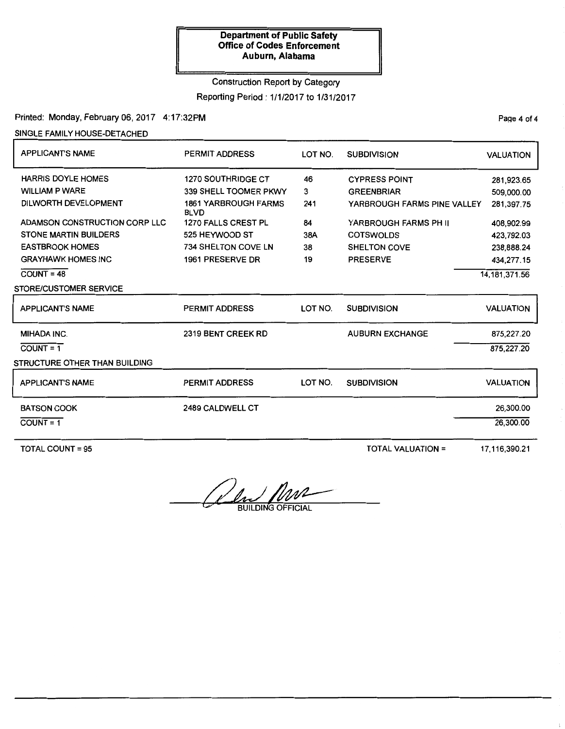### Construction Report by Category

Reporting Period: 1/1/2017 to 1/31/2017

Printed: Monday, February 06, 2017 4:17:32PM

SINGLE FAMILY HOUSE-DETACHED

| <b>APPLICANTS NAME</b>                                                                                                                                                                                                    | <b>PERMIT ADDRESS</b>                                                                                                                                                                              | LOT NO.                                 | <b>SUBDIVISION</b>                                                                                                                                              | <b>VALUATION</b>                                                                                                  |
|---------------------------------------------------------------------------------------------------------------------------------------------------------------------------------------------------------------------------|----------------------------------------------------------------------------------------------------------------------------------------------------------------------------------------------------|-----------------------------------------|-----------------------------------------------------------------------------------------------------------------------------------------------------------------|-------------------------------------------------------------------------------------------------------------------|
| <b>HARRIS DOYLE HOMES</b><br><b>WILLIAM P WARE</b><br><b>DILWORTH DEVELOPMENT</b><br>ADAMSON CONSTRUCTION CORP LLC<br><b>STONE MARTIN BUILDERS</b><br><b>EASTBROOK HOMES</b><br><b>GRAYHAWK HOMES INC</b><br>$COUNT = 48$ | <b>1270 SOUTHRIDGE CT</b><br>339 SHELL TOOMER PKWY<br><b>1861 YARBROUGH FARMS</b><br><b>BLVD</b><br>1270 FALLS CREST PL<br>525 HEYWOOD ST<br><b>734 SHELTON COVE LN</b><br><b>1961 PRESERVE DR</b> | 46<br>3<br>241<br>84<br>38A<br>38<br>19 | <b>CYPRESS POINT</b><br><b>GREENBRIAR</b><br>YARBROUGH FARMS PINE VALLEY<br>YARBROUGH FARMS PH II<br><b>COTSWOLDS</b><br><b>SHELTON COVE</b><br><b>PRESERVE</b> | 281,923.65<br>509,000.00<br>281,397.75<br>408,902.99<br>423,792.03<br>238,888.24<br>434,277.15<br>14, 181, 371.56 |
| <b>STORE/CUSTOMER SERVICE</b>                                                                                                                                                                                             |                                                                                                                                                                                                    |                                         |                                                                                                                                                                 |                                                                                                                   |
| <b>APPLICANT'S NAME</b>                                                                                                                                                                                                   | PERMIT ADDRESS                                                                                                                                                                                     | LOT NO.                                 | <b>SUBDIVISION</b>                                                                                                                                              | <b>VALUATION</b>                                                                                                  |
| <b>MIHADA INC.</b><br>$COUNT = 1$<br>STRUCTURE OTHER THAN BUILDING                                                                                                                                                        | 2319 BENT CREEK RD                                                                                                                                                                                 |                                         | <b>AUBURN EXCHANGE</b>                                                                                                                                          | 875,227.20<br>875,227.20                                                                                          |
| <b>APPLICANT'S NAME</b>                                                                                                                                                                                                   | <b>PERMIT ADDRESS</b>                                                                                                                                                                              | LOT NO.                                 | <b>SUBDIVISION</b>                                                                                                                                              | <b>VALUATION</b>                                                                                                  |
| <b>BATSON COOK</b><br>$COUNT = 1$                                                                                                                                                                                         | <b>2489 CALDWELL CT</b>                                                                                                                                                                            |                                         |                                                                                                                                                                 | 26,300.00<br>26,300.00                                                                                            |

TOTAL COUNT= 95 TOTAL VALUATION= 17,116,390.21

<u>And MNA</u>

Page 4 of 4